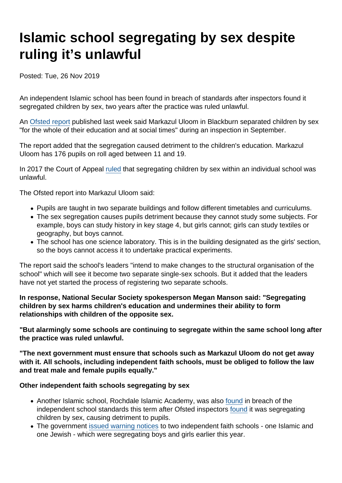# Islamic school segregating by sex despite ruling it's unlawful

Posted: Tue, 26 Nov 2019

An independent Islamic school has been found in breach of standards after inspectors found it segregated children by sex, two years after the practice was ruled unlawful.

An [Ofsted report](https://files.api.ofsted.gov.uk/v1/file/50126704) published last week said Markazul Uloom in Blackburn separated children by sex "for the whole of their education and at social times" during an inspection in September.

The report added that the segregation caused detriment to the children's education. Markazul Uloom has 176 pupils on roll aged between 11 and 19.

In 2017 the Court of Appeal [ruled](https://www.secularism.org.uk/news/2017/10/nss-welcomes-ruling--islamic-schools-gender-segregation-unlawful) that segregating children by sex within an individual school was unlawful.

The Ofsted report into Markazul Uloom said:

- Pupils are taught in two separate buildings and follow different timetables and curriculums.
- The sex segregation causes pupils detriment because they cannot study some subjects. For example, boys can study history in key stage 4, but girls cannot; girls can study textiles or geography, but boys cannot.
- The school has one science laboratory. This is in the building designated as the girls' section, so the boys cannot access it to undertake practical experiments.

The report said the school's leaders "intend to make changes to the structural organisation of the school" which will see it become two separate single-sex schools. But it added that the leaders have not yet started the process of registering two separate schools.

In response, National Secular Society spokesperson Megan Manson said: "Segregating children by sex harms children's education and undermines their ability to form relationships with children of the opposite sex.

"But alarmingly some schools are continuing to segregate within the same school long after the practice was ruled unlawful.

"The next government must ensure that schools such as Markazul Uloom do not get away with it. All schools, including independent faith schools, must be obliged to follow the law and treat male and female pupils equally."

Other independent faith schools segregating by sex

- Another Islamic school, Rochdale Islamic Academy, was also [found](https://www.manchestereveningnews.co.uk/news/greater-manchester-news/school-breaking-law-keeping-boys-17210790) in breach of the independent school standards this term after Ofsted inspectors [found](https://files.api.ofsted.gov.uk/v1/file/50120087) it was segregating children by sex, causing detriment to pupils.
- The government [issued warning notices](https://www.secularism.org.uk/news/2019/06/government-warns-independent-faith-schools-over-gender-segregation/) to two independent faith schools one Islamic and one Jewish - which were segregating boys and girls earlier this year.